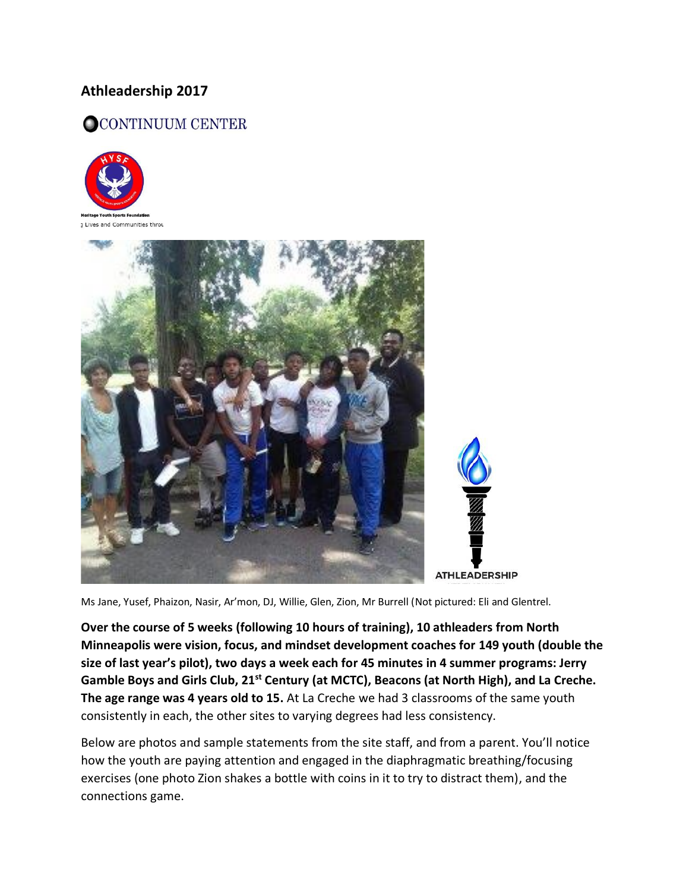## **Athleadership 2017**

## OCONTINUUM CENTER





Ms Jane, Yusef, Phaizon, Nasir, Ar'mon, DJ, Willie, Glen, Zion, Mr Burrell (Not pictured: Eli and Glentrel.

**Over the course of 5 weeks (following 10 hours of training), 10 athleaders from North Minneapolis were vision, focus, and mindset development coaches for 149 youth (double the size of last year's pilot), two days a week each for 45 minutes in 4 summer programs: Jerry Gamble Boys and Girls Club, 21st Century (at MCTC), Beacons (at North High), and La Creche. The age range was 4 years old to 15.** At La Creche we had 3 classrooms of the same youth consistently in each, the other sites to varying degrees had less consistency.

Below are photos and sample statements from the site staff, and from a parent. You'll notice how the youth are paying attention and engaged in the diaphragmatic breathing/focusing exercises (one photo Zion shakes a bottle with coins in it to try to distract them), and the connections game.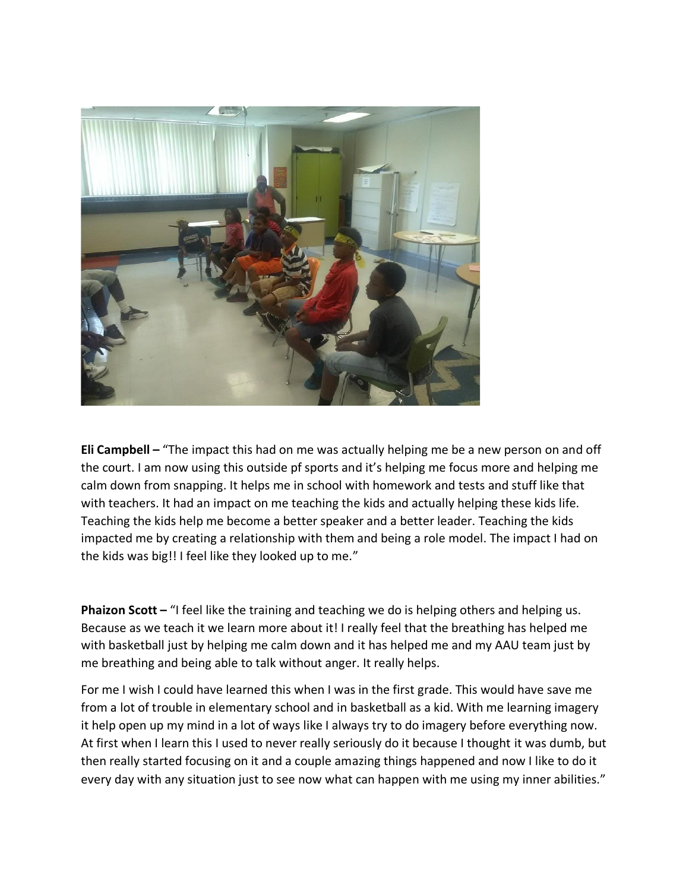

**Eli Campbell –** "The impact this had on me was actually helping me be a new person on and off the court. I am now using this outside pf sports and it's helping me focus more and helping me calm down from snapping. It helps me in school with homework and tests and stuff like that with teachers. It had an impact on me teaching the kids and actually helping these kids life. Teaching the kids help me become a better speaker and a better leader. Teaching the kids impacted me by creating a relationship with them and being a role model. The impact I had on the kids was big!! I feel like they looked up to me."

**Phaizon Scott** – "I feel like the training and teaching we do is helping others and helping us. Because as we teach it we learn more about it! I really feel that the breathing has helped me with basketball just by helping me calm down and it has helped me and my AAU team just by me breathing and being able to talk without anger. It really helps.

For me I wish I could have learned this when I was in the first grade. This would have save me from a lot of trouble in elementary school and in basketball as a kid. With me learning imagery it help open up my mind in a lot of ways like I always try to do imagery before everything now. At first when I learn this I used to never really seriously do it because I thought it was dumb, but then really started focusing on it and a couple amazing things happened and now I like to do it every day with any situation just to see now what can happen with me using my inner abilities."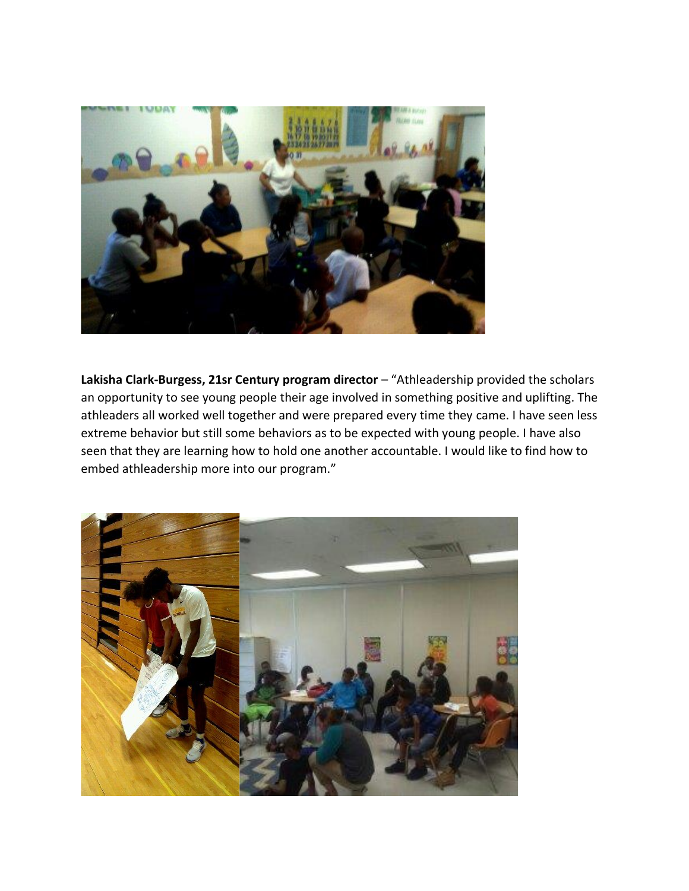

Lakisha Clark-Burgess, 21sr Century program director - "Athleadership provided the scholars an opportunity to see young people their age involved in something positive and uplifting. The athleaders all worked well together and were prepared every time they came. I have seen less extreme behavior but still some behaviors as to be expected with young people. I have also seen that they are learning how to hold one another accountable. I would like to find how to embed athleadership more into our program."

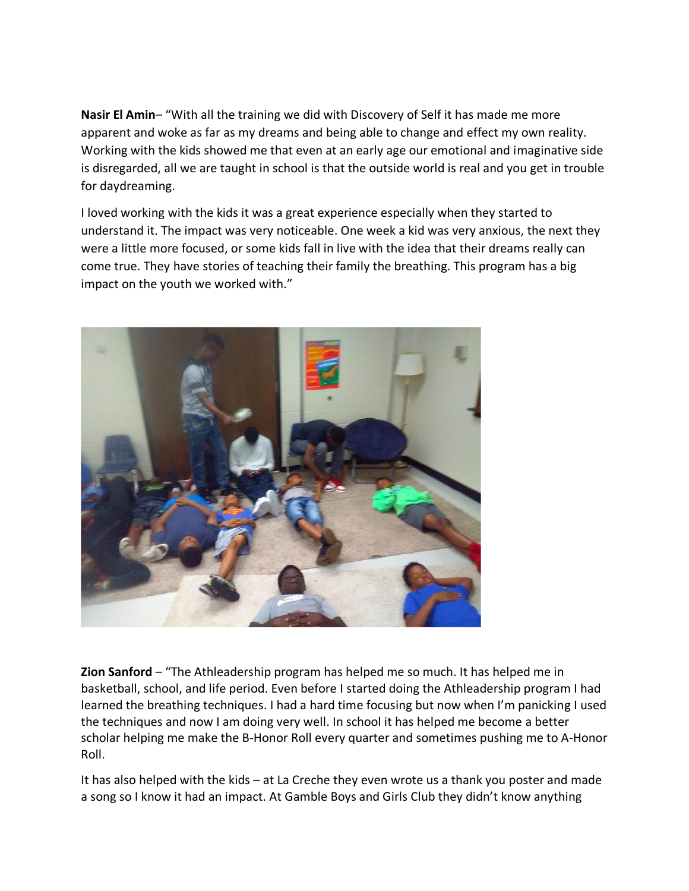**Nasir El Amin**– "With all the training we did with Discovery of Self it has made me more apparent and woke as far as my dreams and being able to change and effect my own reality. Working with the kids showed me that even at an early age our emotional and imaginative side is disregarded, all we are taught in school is that the outside world is real and you get in trouble for daydreaming.

I loved working with the kids it was a great experience especially when they started to understand it. The impact was very noticeable. One week a kid was very anxious, the next they were a little more focused, or some kids fall in live with the idea that their dreams really can come true. They have stories of teaching their family the breathing. This program has a big impact on the youth we worked with."



**Zion Sanford** – "The Athleadership program has helped me so much. It has helped me in basketball, school, and life period. Even before I started doing the Athleadership program I had learned the breathing techniques. I had a hard time focusing but now when I'm panicking I used the techniques and now I am doing very well. In school it has helped me become a better scholar helping me make the B-Honor Roll every quarter and sometimes pushing me to A-Honor Roll.

It has also helped with the kids – at La Creche they even wrote us a thank you poster and made a song so I know it had an impact. At Gamble Boys and Girls Club they didn't know anything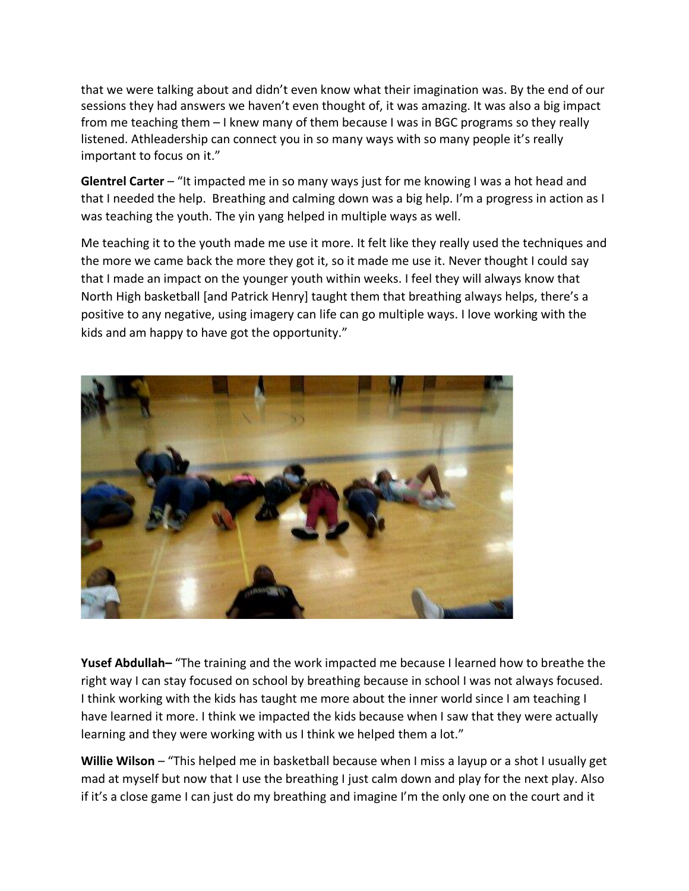that we were talking about and didn't even know what their imagination was. By the end of our sessions they had answers we haven't even thought of, it was amazing. It was also a big impact from me teaching them – I knew many of them because I was in BGC programs so they really listened. Athleadership can connect you in so many ways with so many people it's really important to focus on it."

**Glentrel Carter** – "It impacted me in so many ways just for me knowing I was a hot head and that I needed the help. Breathing and calming down was a big help. I'm a progress in action as I was teaching the youth. The yin yang helped in multiple ways as well.

Me teaching it to the youth made me use it more. It felt like they really used the techniques and the more we came back the more they got it, so it made me use it. Never thought I could say that I made an impact on the younger youth within weeks. I feel they will always know that North High basketball [and Patrick Henry] taught them that breathing always helps, there's a positive to any negative, using imagery can life can go multiple ways. I love working with the kids and am happy to have got the opportunity."



**Yusef Abdullah–** "The training and the work impacted me because I learned how to breathe the right way I can stay focused on school by breathing because in school I was not always focused. I think working with the kids has taught me more about the inner world since I am teaching I have learned it more. I think we impacted the kids because when I saw that they were actually learning and they were working with us I think we helped them a lot."

**Willie Wilson** – "This helped me in basketball because when I miss a layup or a shot I usually get mad at myself but now that I use the breathing I just calm down and play for the next play. Also if it's a close game I can just do my breathing and imagine I'm the only one on the court and it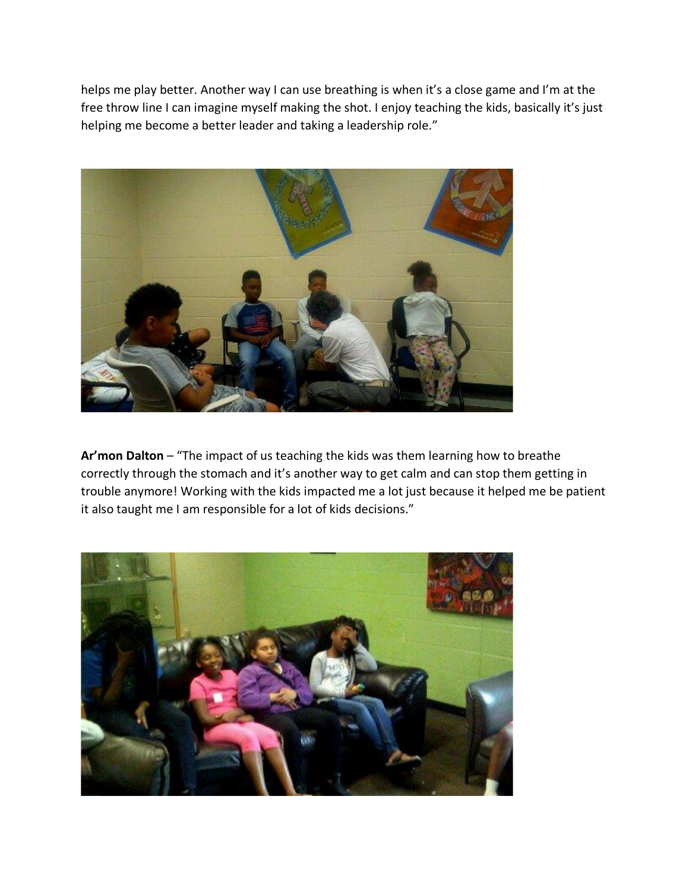helps me play better. Another way I can use breathing is when it's a close game and I'm at the free throw line I can imagine myself making the shot. I enjoy teaching the kids, basically it's just helping me become a better leader and taking a leadership role."



**Ar'mon Dalton** – "The impact of us teaching the kids was them learning how to breathe correctly through the stomach and it's another way to get calm and can stop them getting in trouble anymore! Working with the kids impacted me a lot just because it helped me be patient it also taught me I am responsible for a lot of kids decisions."